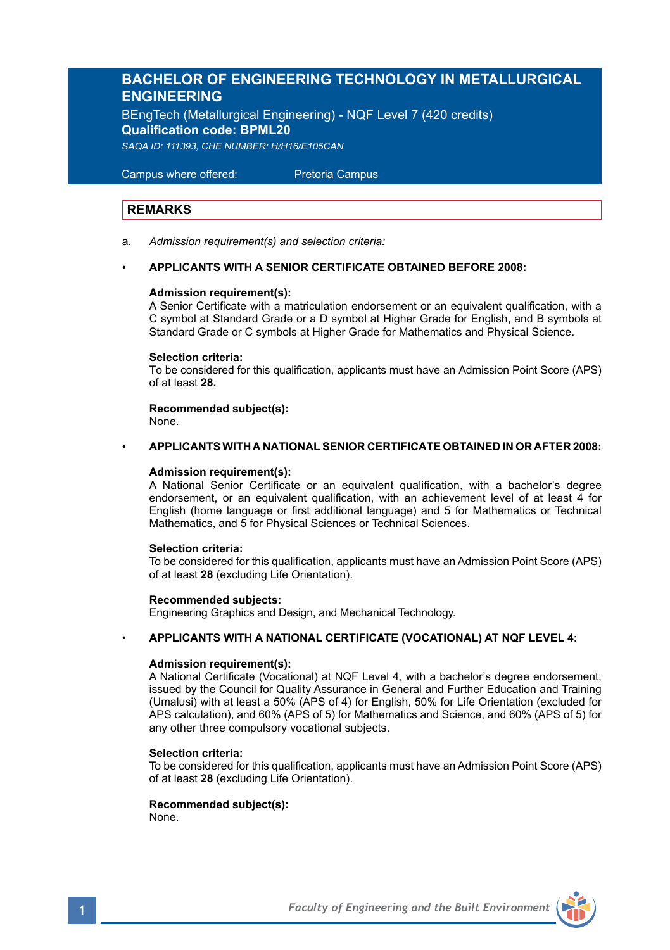## **BACHELOR OF ENGINEERING TECHNOLOGY IN METALLURGICAL ENGINEERING**

BEngTech (Metallurgical Engineering) - NQF Level 7 (420 credits) **Qualification code: BPML20** *SAQA ID: 111393, CHE NUMBER: H/H16/E105CAN* 

 Campus where offered: Pretoria Campus

### **REMARKS**

a. *Admission requirement(s) and selection criteria:*

### • **APPLICANTS WITH A SENIOR CERTIFICATE OBTAINED BEFORE 2008:**

### **Admission requirement(s):**

A Senior Certificate with a matriculation endorsement or an equivalent qualification, with a C symbol at Standard Grade or a D symbol at Higher Grade for English, and B symbols at Standard Grade or C symbols at Higher Grade for Mathematics and Physical Science.

### **Selection criteria:**

To be considered for this qualification, applicants must have an Admission Point Score (APS) of at least **28.**

**Recommended subject(s):** None.

### • **APPLICANTS WITH A NATIONAL SENIOR CERTIFICATE OBTAINED IN OR AFTER 2008:**

### **Admission requirement(s):**

A National Senior Certificate or an equivalent qualification, with a bachelor's degree endorsement, or an equivalent qualification, with an achievement level of at least 4 for English (home language or first additional language) and 5 for Mathematics or Technical Mathematics, and 5 for Physical Sciences or Technical Sciences.

### **Selection criteria:**

To be considered for this qualification, applicants must have an Admission Point Score (APS) of at least **28** (excluding Life Orientation).

### **Recommended subjects:**

Engineering Graphics and Design, and Mechanical Technology.

### • **APPLICANTS WITH A NATIONAL CERTIFICATE (VOCATIONAL) AT NQF LEVEL 4:**

### **Admission requirement(s):**

A National Certificate (Vocational) at NQF Level 4, with a bachelor's degree endorsement, issued by the Council for Quality Assurance in General and Further Education and Training (Umalusi) with at least a 50% (APS of 4) for English, 50% for Life Orientation (excluded for APS calculation), and 60% (APS of 5) for Mathematics and Science, and 60% (APS of 5) for any other three compulsory vocational subjects.

### **Selection criteria:**

To be considered for this qualification, applicants must have an Admission Point Score (APS) of at least **28** (excluding Life Orientation).

### **Recommended subject(s):** None.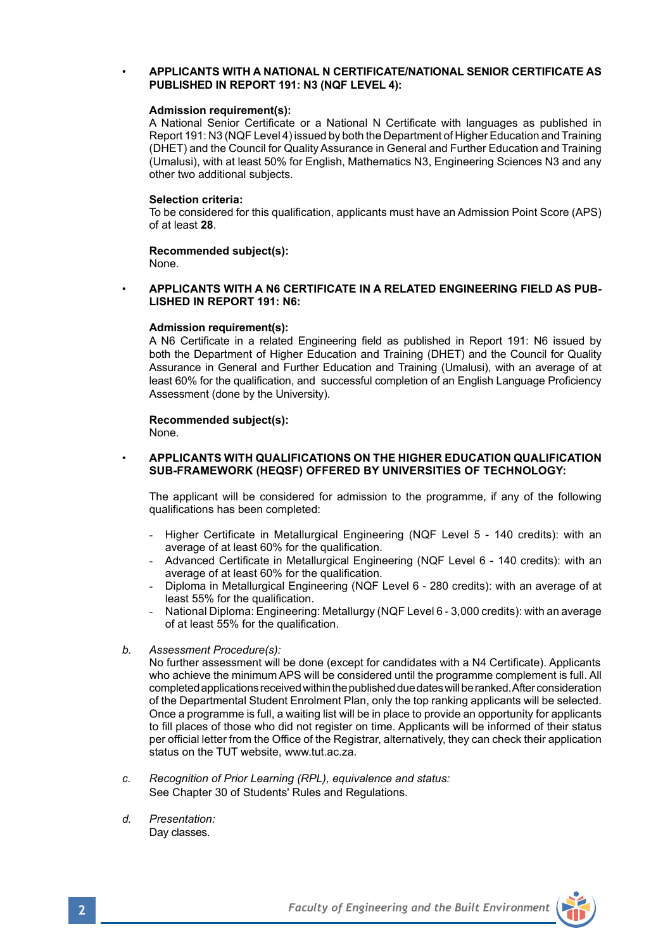### • **APPLICANTS WITH A NATIONAL N CERTIFICATE/NATIONAL SENIOR CERTIFICATE AS PUBLISHED IN REPORT 191: N3 (NQF LEVEL 4):**

### **Admission requirement(s):**

A National Senior Certificate or a National N Certificate with languages as published in Report 191: N3 (NQF Level 4) issued by both the Department of Higher Education and Training (DHET) and the Council for Quality Assurance in General and Further Education and Training (Umalusi), with at least 50% for English, Mathematics N3, Engineering Sciences N3 and any other two additional subjects.

### **Selection criteria:**

To be considered for this qualification, applicants must have an Admission Point Score (APS) of at least **28**.

**Recommended subject(s):** None.

### • **APPLICANTS WITH A N6 CERTIFICATE IN A RELATED ENGINEERING FIELD AS PUB-LISHED IN REPORT 191: N6:**

### **Admission requirement(s):**

A N6 Certificate in a related Engineering field as published in Report 191: N6 issued by both the Department of Higher Education and Training (DHET) and the Council for Quality Assurance in General and Further Education and Training (Umalusi), with an average of at least 60% for the qualification, and successful completion of an English Language Proficiency Assessment (done by the University).

# **Recommended subject(s):**

None.

### • **APPLICANTS WITH QUALIFICATIONS ON THE HIGHER EDUCATION QUALIFICATION SUB-FRAMEWORK (HEQSF) OFFERED BY UNIVERSITIES OF TECHNOLOGY:**

The applicant will be considered for admission to the programme, if any of the following qualifications has been completed:

- Higher Certificate in Metallurgical Engineering (NQF Level 5 140 credits): with an average of at least 60% for the qualification.
- Advanced Certificate in Metallurgical Engineering (NQF Level 6 140 credits): with an average of at least 60% for the qualification.
- Diploma in Metallurgical Engineering (NQF Level 6 280 credits): with an average of at least 55% for the qualification.
- National Diploma: Engineering: Metallurgy (NQF Level 6 3,000 credits): with an average of at least 55% for the qualification.
- *b. Assessment Procedure(s):*

No further assessment will be done (except for candidates with a N4 Certificate). Applicants who achieve the minimum APS will be considered until the programme complement is full. All completed applications received within the published due dates will be ranked. After consideration of the Departmental Student Enrolment Plan, only the top ranking applicants will be selected. Once a programme is full, a waiting list will be in place to provide an opportunity for applicants to fill places of those who did not register on time. Applicants will be informed of their status per official letter from the Office of the Registrar, alternatively, they can check their application status on the TUT website, www.tut.ac.za.

- *c. Recognition of Prior Learning (RPL), equivalence and status:* See Chapter 30 of Students' Rules and Regulations.
- *d. Presentation:* Day classes.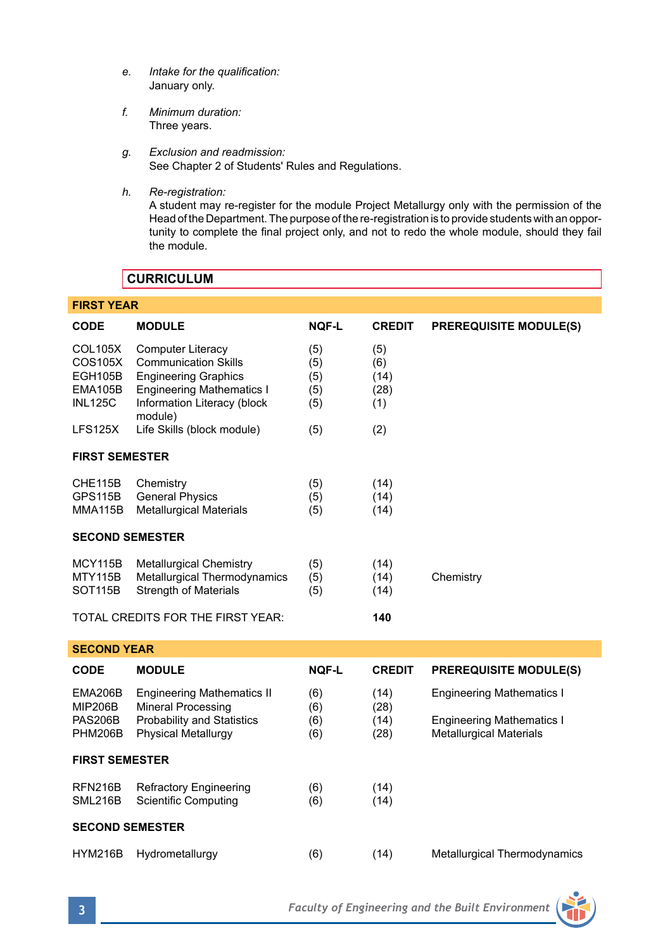- *e. Intake for the qualification:* January only.
- *f. Minimum duration:* Three years.
- *g. Exclusion and readmission:* See Chapter 2 of Students' Rules and Regulations.
- *h. Re-registration:*

A student may re-register for the module Project Metallurgy only with the permission of the Head of the Department. The purpose of the re-registration is to provide students with an opportunity to complete the final project only, and not to redo the whole module, should they fail the module.

## **CURRICULUM**

| <b>FIRST YEAR</b>                                                 |                                                                                                                                                                      |                                 |                                   |                                                                    |  |  |  |  |  |
|-------------------------------------------------------------------|----------------------------------------------------------------------------------------------------------------------------------------------------------------------|---------------------------------|-----------------------------------|--------------------------------------------------------------------|--|--|--|--|--|
| <b>CODE</b>                                                       | <b>MODULE</b>                                                                                                                                                        | <b>NQF-L</b>                    | <b>CREDIT</b>                     | <b>PREREQUISITE MODULE(S)</b>                                      |  |  |  |  |  |
| <b>COL105X</b><br>COS105X<br>EGH105B<br>EMA105B<br><b>INL125C</b> | <b>Computer Literacy</b><br><b>Communication Skills</b><br><b>Engineering Graphics</b><br><b>Engineering Mathematics I</b><br>Information Literacy (block<br>module) | (5)<br>(5)<br>(5)<br>(5)<br>(5) | (5)<br>(6)<br>(14)<br>(28)<br>(1) |                                                                    |  |  |  |  |  |
| <b>LFS125X</b>                                                    | Life Skills (block module)                                                                                                                                           | (5)                             | (2)                               |                                                                    |  |  |  |  |  |
| <b>FIRST SEMESTER</b>                                             |                                                                                                                                                                      |                                 |                                   |                                                                    |  |  |  |  |  |
| CHE115B<br><b>GPS115B</b><br><b>MMA115B</b>                       | Chemistry<br><b>General Physics</b><br><b>Metallurgical Materials</b>                                                                                                | (5)<br>(5)<br>(5)               | (14)<br>(14)<br>(14)              |                                                                    |  |  |  |  |  |
| <b>SECOND SEMESTER</b>                                            |                                                                                                                                                                      |                                 |                                   |                                                                    |  |  |  |  |  |
| <b>MCY115B</b><br><b>MTY115B</b><br><b>SOT115B</b>                | <b>Metallurgical Chemistry</b><br>Metallurgical Thermodynamics<br><b>Strength of Materials</b>                                                                       | (5)<br>(5)<br>(5)               | (14)<br>(14)<br>(14)              | Chemistry                                                          |  |  |  |  |  |
|                                                                   | TOTAL CREDITS FOR THE FIRST YEAR:                                                                                                                                    |                                 | 140                               |                                                                    |  |  |  |  |  |
| <b>SECOND YEAR</b>                                                |                                                                                                                                                                      |                                 |                                   |                                                                    |  |  |  |  |  |
| <b>CODE</b>                                                       | <b>MODULE</b>                                                                                                                                                        | <b>NOF-L</b>                    | <b>CREDIT</b>                     | <b>PREREQUISITE MODULE(S)</b>                                      |  |  |  |  |  |
| EMA206B<br><b>MIP206B</b>                                         | <b>Engineering Mathematics II</b><br><b>Mineral Processing</b>                                                                                                       | (6)<br>(6)                      | (14)<br>(28)                      | <b>Engineering Mathematics I</b>                                   |  |  |  |  |  |
| PAS206B<br><b>PHM206B</b>                                         | <b>Probability and Statistics</b><br>Physical Metallurgy                                                                                                             | (6)<br>(6)                      | (14)<br>(28)                      | <b>Engineering Mathematics I</b><br><b>Metallurgical Materials</b> |  |  |  |  |  |
| <b>FIRST SEMESTER</b>                                             |                                                                                                                                                                      |                                 |                                   |                                                                    |  |  |  |  |  |
| RFN216B<br>SML216B                                                | <b>Refractory Engineering</b><br><b>Scientific Computing</b>                                                                                                         | (6)<br>(6)                      | (14)<br>(14)                      |                                                                    |  |  |  |  |  |
| <b>SECOND SEMESTER</b>                                            |                                                                                                                                                                      |                                 |                                   |                                                                    |  |  |  |  |  |
| HYM216B                                                           | Hydrometallurgy                                                                                                                                                      | (6)                             | (14)                              | Metallurgical Thermodynamics                                       |  |  |  |  |  |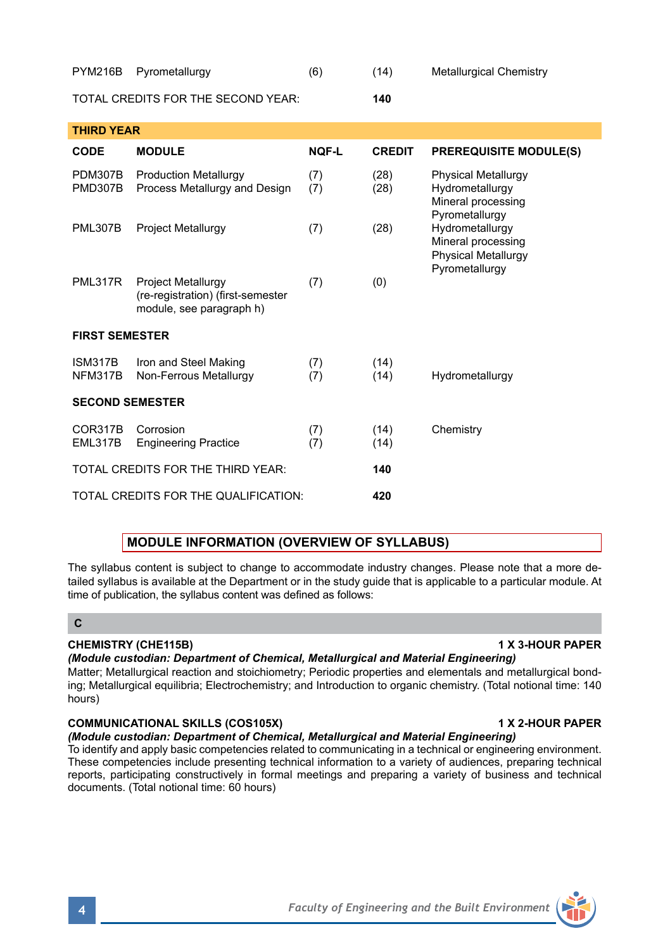| <b>PYM216B</b>     | Pyrometallurgy                                                | (6)          | (14)          | <b>Metallurgical Chemistry</b>                                                        |  |  |  |  |
|--------------------|---------------------------------------------------------------|--------------|---------------|---------------------------------------------------------------------------------------|--|--|--|--|
|                    | TOTAL CREDITS FOR THE SECOND YEAR:                            |              | 140           |                                                                                       |  |  |  |  |
| <b>THIRD YEAR</b>  |                                                               |              |               |                                                                                       |  |  |  |  |
| <b>CODE</b>        | <b>MODULE</b>                                                 | <b>NOF-L</b> | <b>CREDIT</b> | <b>PREREQUISITE MODULE(S)</b>                                                         |  |  |  |  |
| PDM307B<br>PMD307B | <b>Production Metallurgy</b><br>Process Metallurgy and Design | (7)<br>(7)   | (28)<br>(28)  | <b>Physical Metallurgy</b><br>Hydrometallurgy<br>Mineral processing<br>Pyrometallurgy |  |  |  |  |
| <b>PML307B</b>     | <b>Project Metallurgy</b>                                     | (7)          | (28)          | Hydrometallurgy<br>Mineral processing<br><b>Physical Metallurgy</b><br>Pyrometallurgy |  |  |  |  |

| <b>FIRST SEMESTER</b>  |                                                 |            |              |                 |  |  |  |  |
|------------------------|-------------------------------------------------|------------|--------------|-----------------|--|--|--|--|
| ISM317B<br>NFM317B     | Iron and Steel Making<br>Non-Ferrous Metallurgy | (7)<br>(7) | (14)<br>(14) | Hydrometallurgy |  |  |  |  |
| <b>SECOND SEMESTER</b> |                                                 |            |              |                 |  |  |  |  |
| COR317B<br>EML317B     | Corrosion<br><b>Engineering Practice</b>        | (7)<br>(7) | (14)<br>(14) | Chemistry       |  |  |  |  |
|                        | TOTAL CREDITS FOR THE THIRD YEAR:               |            | 140          |                 |  |  |  |  |
|                        | TOTAL CREDITS FOR THE QUALIFICATION:            |            | 420          |                 |  |  |  |  |

PML317R Project Metallurgy (7) (0) (re-registration) (first-semester module, see paragraph h)

## **MODULE INFORMATION (OVERVIEW OF SYLLABUS)**

The syllabus content is subject to change to accommodate industry changes. Please note that a more detailed syllabus is available at the Department or in the study guide that is applicable to a particular module. At time of publication, the syllabus content was defined as follows:

## **C**

### **CHEMISTRY (CHE115B) 1 X 3-HOUR PAPER**

### *(Module custodian: Department of Chemical, Metallurgical and Material Engineering)*

Matter; Metallurgical reaction and stoichiometry; Periodic properties and elementals and metallurgical bonding; Metallurgical equilibria; Electrochemistry; and Introduction to organic chemistry. (Total notional time: 140 hours)

### **COMMUNICATIONAL SKILLS (COS105X) 1 X 2-HOUR PAPER**

*(Module custodian: Department of Chemical, Metallurgical and Material Engineering)*

To identify and apply basic competencies related to communicating in a technical or engineering environment. These competencies include presenting technical information to a variety of audiences, preparing technical reports, participating constructively in formal meetings and preparing a variety of business and technical documents. (Total notional time: 60 hours)

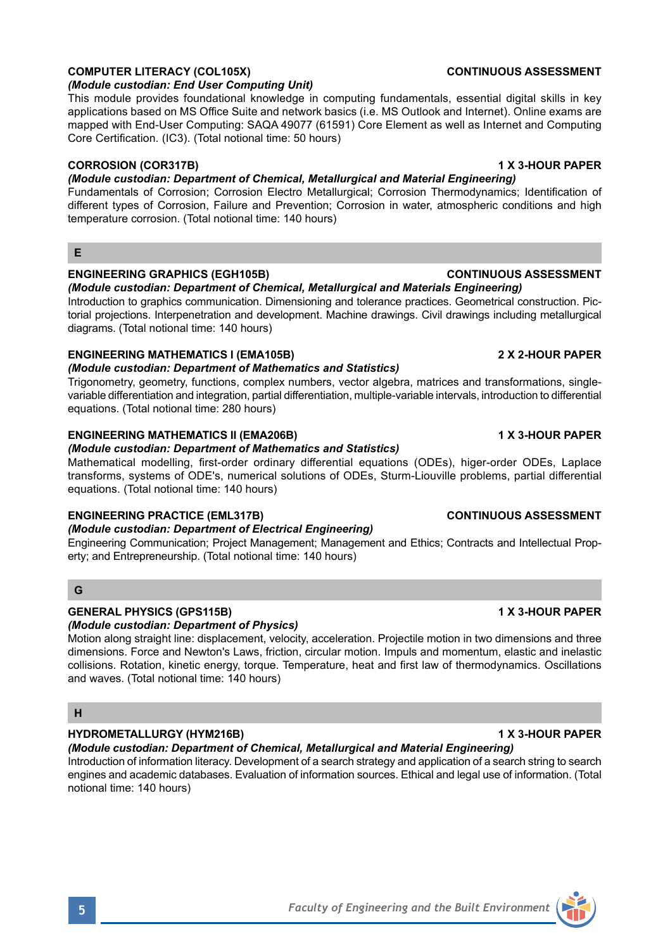### **5** *Faculty of Engineering and the Built Environment*

## **COMPUTER LITERACY (COL105X)** CONTINUOUS ASSESSMENT

### *(Module custodian: End User Computing Unit)*

This module provides foundational knowledge in computing fundamentals, essential digital skills in key applications based on MS Office Suite and network basics (i.e. MS Outlook and Internet). Online exams are mapped with End-User Computing: SAQA 49077 (61591) Core Element as well as Internet and Computing Core Certification. (IC3). (Total notional time: 50 hours)

### **CORROSION (COR317B) 1 X 3-HOUR PAPER**

### *(Module custodian: Department of Chemical, Metallurgical and Material Engineering)*

Fundamentals of Corrosion; Corrosion Electro Metallurgical; Corrosion Thermodynamics; Identification of different types of Corrosion, Failure and Prevention; Corrosion in water, atmospheric conditions and high temperature corrosion. (Total notional time: 140 hours)

### **E**

### **ENGINEERING GRAPHICS (EGH105B) CONTINUOUS ASSESSMENT**

*(Module custodian: Department of Chemical, Metallurgical and Materials Engineering)* Introduction to graphics communication. Dimensioning and tolerance practices. Geometrical construction. Pictorial projections. Interpenetration and development. Machine drawings. Civil drawings including metallurgical diagrams. (Total notional time: 140 hours)

### **ENGINEERING MATHEMATICS I (EMA105B) 2 X 2-HOUR PAPER**

### *(Module custodian: Department of Mathematics and Statistics)*

Trigonometry, geometry, functions, complex numbers, vector algebra, matrices and transformations, singlevariable differentiation and integration, partial differentiation, multiple-variable intervals, introduction to differential equations. (Total notional time: 280 hours)

### **ENGINEERING MATHEMATICS II (EMA206B) 1 X 3-HOUR PAPER**

### *(Module custodian: Department of Mathematics and Statistics)*

Mathematical modelling, first-order ordinary differential equations (ODEs), higer-order ODEs, Laplace transforms, systems of ODE's, numerical solutions of ODEs, Sturm-Liouville problems, partial differential equations. (Total notional time: 140 hours)

## **ENGINEERING PRACTICE (EML317B) CONTINUOUS ASSESSMENT**

## *(Module custodian: Department of Electrical Engineering)*

Engineering Communication; Project Management; Management and Ethics; Contracts and Intellectual Property; and Entrepreneurship. (Total notional time: 140 hours)

### **G**

## **GENERAL PHYSICS (GPS115B) 1 X 3-HOUR PAPER**

*(Module custodian: Department of Physics)*

Motion along straight line: displacement, velocity, acceleration. Projectile motion in two dimensions and three dimensions. Force and Newton's Laws, friction, circular motion. Impuls and momentum, elastic and inelastic collisions. Rotation, kinetic energy, torque. Temperature, heat and first law of thermodynamics. Oscillations and waves. (Total notional time: 140 hours)

## **H**

## **HYDROMETALLURGY (HYM216B) 1 X 3-HOUR PAPER**

## *(Module custodian: Department of Chemical, Metallurgical and Material Engineering)*

Introduction of information literacy. Development of a search strategy and application of a search string to search engines and academic databases. Evaluation of information sources. Ethical and legal use of information. (Total notional time: 140 hours)



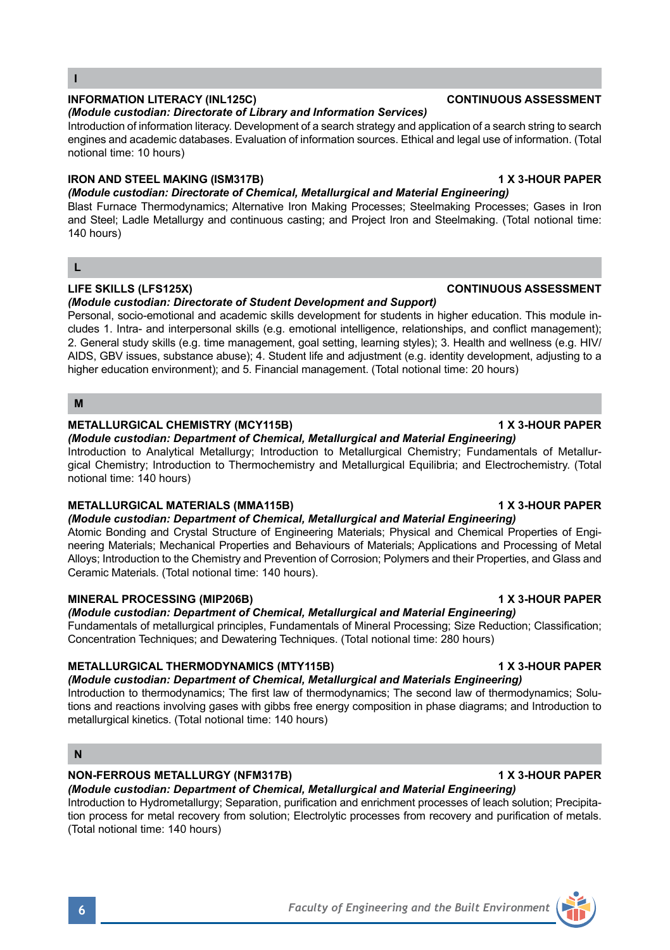**I**

## **INFORMATION LITERACY (INL125C) CONTINUOUS ASSESSMENT**

## *(Module custodian: Directorate of Library and Information Services)*

Introduction of information literacy. Development of a search strategy and application of a search string to search engines and academic databases. Evaluation of information sources. Ethical and legal use of information. (Total notional time: 10 hours)

## **IRON AND STEEL MAKING (ISM317B) 1 X 3-HOUR PAPER**

## *(Module custodian: Directorate of Chemical, Metallurgical and Material Engineering)*

Blast Furnace Thermodynamics; Alternative Iron Making Processes; Steelmaking Processes; Gases in Iron and Steel; Ladle Metallurgy and continuous casting; and Project Iron and Steelmaking. (Total notional time: 140 hours)

### **L**

### **LIFE SKILLS (LFS125X) CONTINUOUS ASSESSMENT**

### *(Module custodian: Directorate of Student Development and Support)*

Personal, socio-emotional and academic skills development for students in higher education. This module includes 1. Intra- and interpersonal skills (e.g. emotional intelligence, relationships, and conflict management); 2. General study skills (e.g. time management, goal setting, learning styles); 3. Health and wellness (e.g. HIV/ AIDS, GBV issues, substance abuse); 4. Student life and adjustment (e.g. identity development, adjusting to a higher education environment); and 5. Financial management. (Total notional time: 20 hours)

### **M**

### METALLURGICAL CHEMISTRY (MCY115B) **1 X 3-HOUR PAPER**

## *(Module custodian: Department of Chemical, Metallurgical and Material Engineering)*

Introduction to Analytical Metallurgy; Introduction to Metallurgical Chemistry; Fundamentals of Metallurgical Chemistry; Introduction to Thermochemistry and Metallurgical Equilibria; and Electrochemistry. (Total notional time: 140 hours)

## **METALLURGICAL MATERIALS (MMA115B)** 1 X 3-HOUR PAPER

*(Module custodian: Department of Chemical, Metallurgical and Material Engineering)* Atomic Bonding and Crystal Structure of Engineering Materials; Physical and Chemical Properties of Engineering Materials; Mechanical Properties and Behaviours of Materials; Applications and Processing of Metal Alloys; Introduction to the Chemistry and Prevention of Corrosion; Polymers and their Properties, and Glass and Ceramic Materials. (Total notional time: 140 hours).

## **MINERAL PROCESSING (MIP206B) 1 X 3-HOUR PAPER**

*(Module custodian: Department of Chemical, Metallurgical and Material Engineering)*

Fundamentals of metallurgical principles, Fundamentals of Mineral Processing; Size Reduction; Classification; Concentration Techniques; and Dewatering Techniques. (Total notional time: 280 hours)

## **METALLURGICAL THERMODYNAMICS (MTY115B) 1 X 3-HOUR PAPER**

*(Module custodian: Department of Chemical, Metallurgical and Materials Engineering)* Introduction to thermodynamics; The first law of thermodynamics; The second law of thermodynamics; Solutions and reactions involving gases with gibbs free energy composition in phase diagrams; and Introduction to metallurgical kinetics. (Total notional time: 140 hours)

## **N**

## **NON-FERROUS METALLURGY (NFM317B) 1 X 3-HOUR PAPER**

*(Module custodian: Department of Chemical, Metallurgical and Material Engineering)* Introduction to Hydrometallurgy; Separation, purification and enrichment processes of leach solution; Precipitation process for metal recovery from solution; Electrolytic processes from recovery and purification of metals. (Total notional time: 140 hours)

# **6** *Faculty of Engineering and the Built Environment*